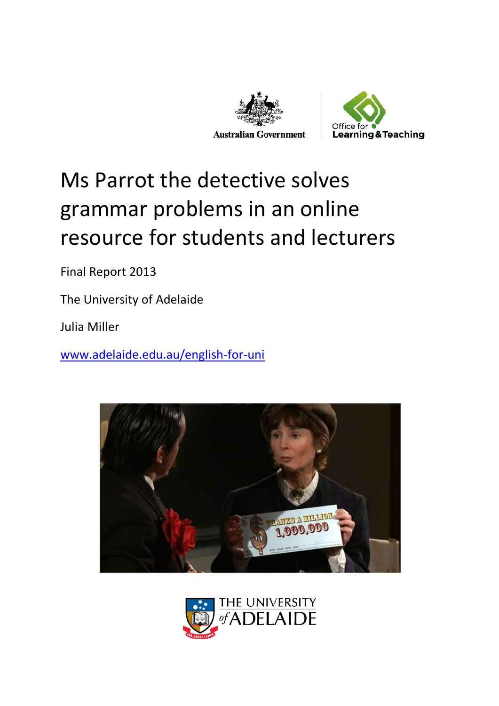



# Ms Parrot the detective solves grammar problems in an online resource for students and lecturers

Final Report 2013

The University of Adelaide

Julia Miller

[www.adelaide.edu.au/english-for-uni](http://www.adelaide.edu.au/english-for-uni)



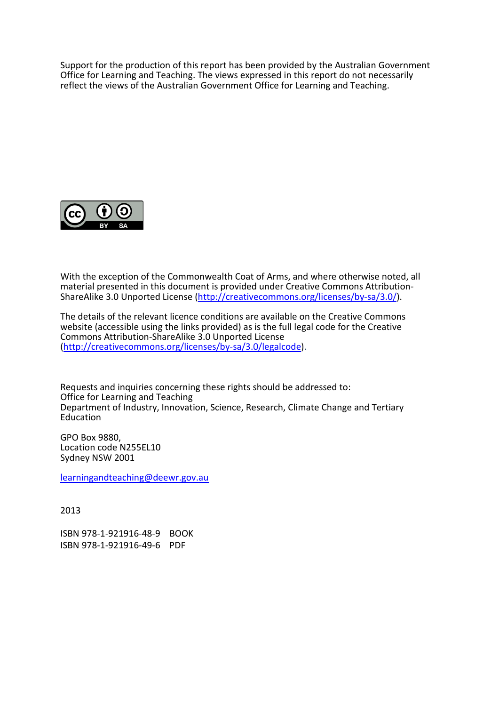Support for the production of this report has been provided by the Australian Government Office for Learning and Teaching. The views expressed in this report do not necessarily reflect the views of the Australian Government Office for Learning and Teaching.



With the exception of the Commonwealth Coat of Arms, and where otherwise noted, all material presented in this document is provided under Creative Commons Attribution-ShareAlike 3.0 Unported License [\(http://creativecommons.org/licenses/by-sa/3.0/\)](http://creativecommons.org/licenses/by-sa/3.0/).

The details of the relevant licence conditions are available on the Creative Commons website (accessible using the links provided) as is the full legal code for the Creative Commons Attribution-ShareAlike 3.0 Unported License [\(http://creativecommons.org/licenses/by-sa/3.0/legalcode\)](http://creativecommons.org/licenses/by-sa/3.0/legalcode).

Requests and inquiries concerning these rights should be addressed to: Office for Learning and Teaching Department of Industry, Innovation, Science, Research, Climate Change and Tertiary Education

GPO Box 9880, Location code N255EL10 Sydney NSW 2001

[learningandteaching@deewr.gov.au](mailto:learningandteaching@deewr.gov.au)

2013

ISBN 978-1-921916-48-9 BOOK ISBN 978-1-921916-49-6 PDF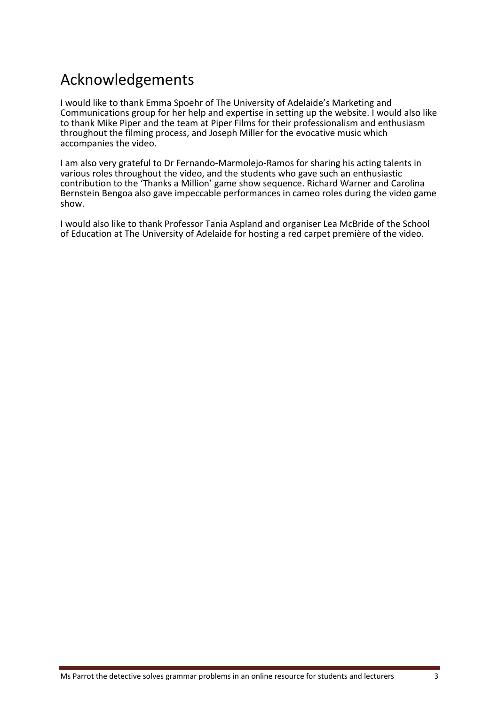#### Acknowledgements

I would like to thank Emma Spoehr of The University of Adelaide's Marketing and Communications group for her help and expertise in setting up the website. I would also like to thank Mike Piper and the team at Piper Films for their professionalism and enthusiasm throughout the filming process, and Joseph Miller for the evocative music which accompanies the video.

I am also very grateful to Dr Fernando-Marmolejo-Ramos for sharing his acting talents in various roles throughout the video, and the students who gave such an enthusiastic contribution to the 'Thanks a Million' game show sequence. Richard Warner and Carolina Bernstein Bengoa also gave impeccable performances in cameo roles during the video game show.

I would also like to thank Professor Tania Aspland and organiser Lea McBride of the School of Education at The University of Adelaide for hosting a red carpet première of the video.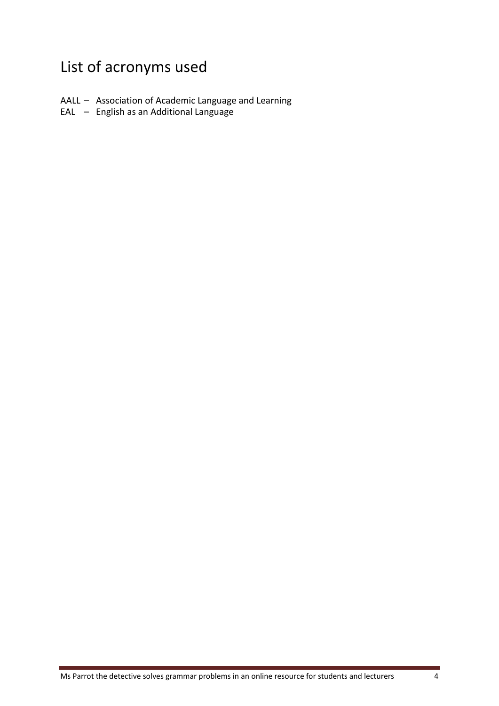# List of acronyms used

- AALL Association of Academic Language and Learning
- EAL English as an Additional Language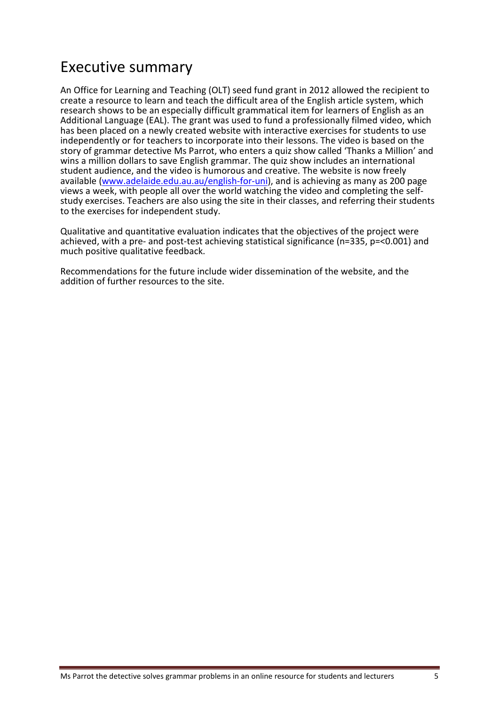#### Executive summary

An Office for Learning and Teaching (OLT) seed fund grant in 2012 allowed the recipient to create a resource to learn and teach the difficult area of the English article system, which research shows to be an especially difficult grammatical item for learners of English as an Additional Language (EAL). The grant was used to fund a professionally filmed video, which has been placed on a newly created website with interactive exercises for students to use independently or for teachers to incorporate into their lessons. The video is based on the story of grammar detective Ms Parrot, who enters a quiz show called 'Thanks a Million' and wins a million dollars to save English grammar. The quiz show includes an international student audience, and the video is humorous and creative. The website is now freely available [\(www.adelaide.edu.au.au/english-for-uni\)](http://www.adelaide.edu.au.au/english-for-uni), and is achieving as many as 200 page views a week, with people all over the world watching the video and completing the selfstudy exercises. Teachers are also using the site in their classes, and referring their students to the exercises for independent study.

Qualitative and quantitative evaluation indicates that the objectives of the project were achieved, with a pre- and post-test achieving statistical significance (n=335, p=<0.001) and much positive qualitative feedback.

Recommendations for the future include wider dissemination of the website, and the addition of further resources to the site.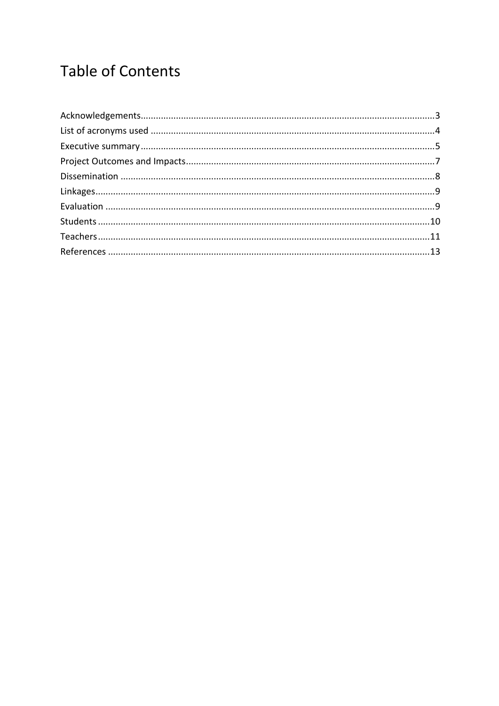## **Table of Contents**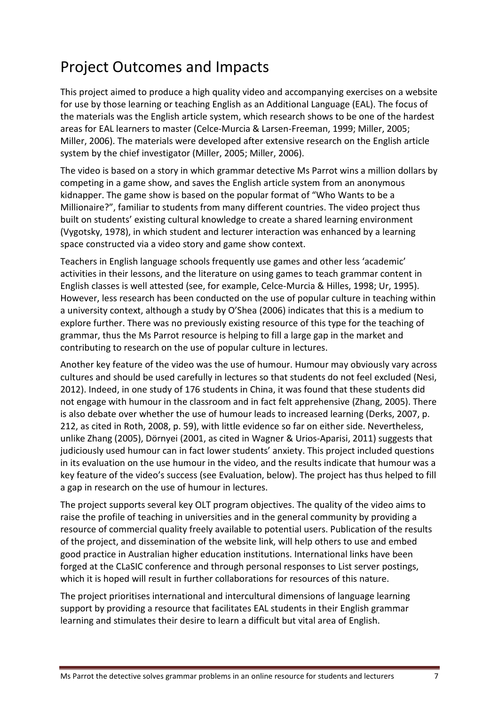## Project Outcomes and Impacts

This project aimed to produce a high quality video and accompanying exercises on a website for use by those learning or teaching English as an Additional Language (EAL). The focus of the materials was the English article system, which research shows to be one of the hardest areas for EAL learners to master (Celce-Murcia & Larsen-Freeman, 1999; Miller, 2005; Miller, 2006). The materials were developed after extensive research on the English article system by the chief investigator (Miller, 2005; Miller, 2006).

The video is based on a story in which grammar detective Ms Parrot wins a million dollars by competing in a game show, and saves the English article system from an anonymous kidnapper. The game show is based on the popular format of "Who Wants to be a Millionaire?", familiar to students from many different countries. The video project thus built on students' existing cultural knowledge to create a shared learning environment (Vygotsky, 1978), in which student and lecturer interaction was enhanced by a learning space constructed via a video story and game show context.

Teachers in English language schools frequently use games and other less 'academic' activities in their lessons, and the literature on using games to teach grammar content in English classes is well attested (see, for example, Celce-Murcia & Hilles, 1998; Ur, 1995). However, less research has been conducted on the use of popular culture in teaching within a university context, although a study by O'Shea (2006) indicates that this is a medium to explore further. There was no previously existing resource of this type for the teaching of grammar, thus the Ms Parrot resource is helping to fill a large gap in the market and contributing to research on the use of popular culture in lectures.

Another key feature of the video was the use of humour. Humour may obviously vary across cultures and should be used carefully in lectures so that students do not feel excluded (Nesi, 2012). Indeed, in one study of 176 students in China, it was found that these students did not engage with humour in the classroom and in fact felt apprehensive (Zhang, 2005). There is also debate over whether the use of humour leads to increased learning (Derks, 2007, p. 212, as cited in Roth, 2008, p. 59), with little evidence so far on either side. Nevertheless, unlike Zhang (2005), Dörnyei (2001, as cited in Wagner & Urios-Aparisi, 2011) suggests that judiciously used humour can in fact lower students' anxiety. This project included questions in its evaluation on the use humour in the video, and the results indicate that humour was a key feature of the video's success (see Evaluation, below). The project has thus helped to fill a gap in research on the use of humour in lectures.

The project supports several key OLT program objectives. The quality of the video aims to raise the profile of teaching in universities and in the general community by providing a resource of commercial quality freely available to potential users. Publication of the results of the project, and dissemination of the website link, will help others to use and embed good practice in Australian higher education institutions. International links have been forged at the CLaSIC conference and through personal responses to List server postings, which it is hoped will result in further collaborations for resources of this nature.

The project prioritises international and intercultural dimensions of language learning support by providing a resource that facilitates EAL students in their English grammar learning and stimulates their desire to learn a difficult but vital area of English.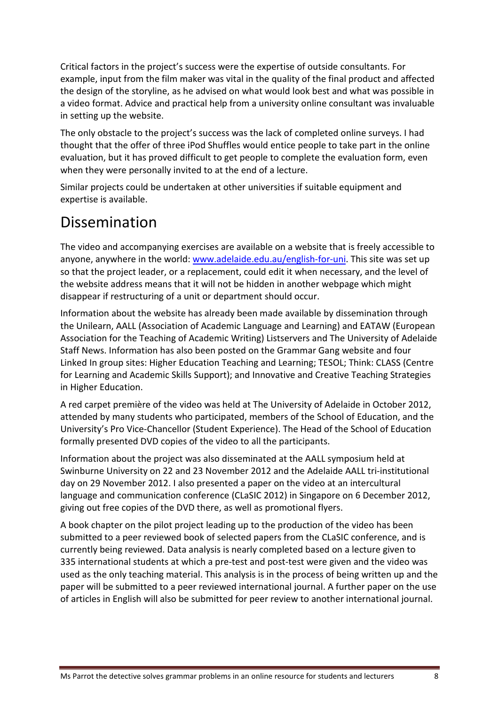Critical factors in the project's success were the expertise of outside consultants. For example, input from the film maker was vital in the quality of the final product and affected the design of the storyline, as he advised on what would look best and what was possible in a video format. Advice and practical help from a university online consultant was invaluable in setting up the website.

The only obstacle to the project's success was the lack of completed online surveys. I had thought that the offer of three iPod Shuffles would entice people to take part in the online evaluation, but it has proved difficult to get people to complete the evaluation form, even when they were personally invited to at the end of a lecture.

Similar projects could be undertaken at other universities if suitable equipment and expertise is available.

#### Dissemination

The video and accompanying exercises are available on a website that is freely accessible to anyone, anywhere in the world: [www.adelaide.edu.au/english-for-uni.](http://www.adelaide.edu.au/english-for-uni) This site was set up so that the project leader, or a replacement, could edit it when necessary, and the level of the website address means that it will not be hidden in another webpage which might disappear if restructuring of a unit or department should occur.

Information about the website has already been made available by dissemination through the Unilearn, AALL (Association of Academic Language and Learning) and EATAW (European Association for the Teaching of Academic Writing) Listservers and The University of Adelaide Staff News. Information has also been posted on the Grammar Gang website and four Linked In group sites: Higher Education Teaching and Learning; TESOL; Think: CLASS (Centre for Learning and Academic Skills Support); and Innovative and Creative Teaching Strategies in Higher Education.

A red carpet première of the video was held at The University of Adelaide in October 2012, attended by many students who participated, members of the School of Education, and the University's Pro Vice-Chancellor (Student Experience). The Head of the School of Education formally presented DVD copies of the video to all the participants.

Information about the project was also disseminated at the AALL symposium held at Swinburne University on 22 and 23 November 2012 and the Adelaide AALL tri-institutional day on 29 November 2012. I also presented a paper on the video at an intercultural language and communication conference (CLaSIC 2012) in Singapore on 6 December 2012, giving out free copies of the DVD there, as well as promotional flyers.

A book chapter on the pilot project leading up to the production of the video has been submitted to a peer reviewed book of selected papers from the CLaSIC conference, and is currently being reviewed. Data analysis is nearly completed based on a lecture given to 335 international students at which a pre-test and post-test were given and the video was used as the only teaching material. This analysis is in the process of being written up and the paper will be submitted to a peer reviewed international journal. A further paper on the use of articles in English will also be submitted for peer review to another international journal.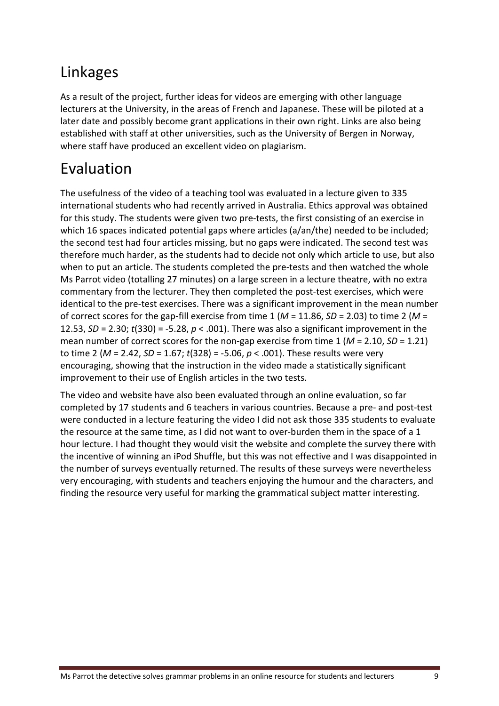## Linkages

As a result of the project, further ideas for videos are emerging with other language lecturers at the University, in the areas of French and Japanese. These will be piloted at a later date and possibly become grant applications in their own right. Links are also being established with staff at other universities, such as the University of Bergen in Norway, where staff have produced an excellent video on plagiarism.

# Evaluation

The usefulness of the video of a teaching tool was evaluated in a lecture given to 335 international students who had recently arrived in Australia. Ethics approval was obtained for this study. The students were given two pre-tests, the first consisting of an exercise in which 16 spaces indicated potential gaps where articles (a/an/the) needed to be included; the second test had four articles missing, but no gaps were indicated. The second test was therefore much harder, as the students had to decide not only which article to use, but also when to put an article. The students completed the pre-tests and then watched the whole Ms Parrot video (totalling 27 minutes) on a large screen in a lecture theatre, with no extra commentary from the lecturer. They then completed the post-test exercises, which were identical to the pre-test exercises. There was a significant improvement in the mean number of correct scores for the gap-fill exercise from time 1 (*M* = 11.86, *SD* = 2.03) to time 2 (*M* = 12.53, *SD* = 2.30; *t*(330) = -5.28, *p* < .001). There was also a significant improvement in the mean number of correct scores for the non-gap exercise from time 1 (*M* = 2.10, *SD* = 1.21) to time 2 (*M* = 2.42, *SD* = 1.67; *t*(328) = -5.06, *p* < .001). These results were very encouraging, showing that the instruction in the video made a statistically significant improvement to their use of English articles in the two tests.

The video and website have also been evaluated through an online evaluation, so far completed by 17 students and 6 teachers in various countries. Because a pre- and post-test were conducted in a lecture featuring the video I did not ask those 335 students to evaluate the resource at the same time, as I did not want to over-burden them in the space of a 1 hour lecture. I had thought they would visit the website and complete the survey there with the incentive of winning an iPod Shuffle, but this was not effective and I was disappointed in the number of surveys eventually returned. The results of these surveys were nevertheless very encouraging, with students and teachers enjoying the humour and the characters, and finding the resource very useful for marking the grammatical subject matter interesting.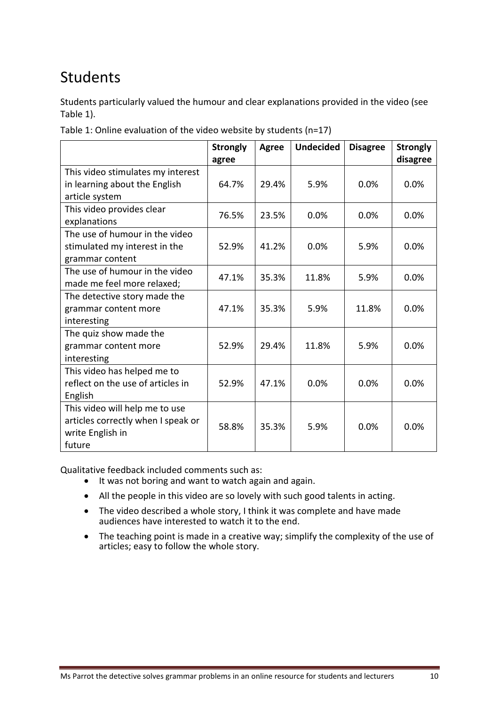## Students

Students particularly valued the humour and clear explanations provided in the video (see Table 1).

|                                    | <b>Strongly</b><br>agree | <b>Agree</b> | <b>Undecided</b> | <b>Disagree</b> | <b>Strongly</b><br>disagree |
|------------------------------------|--------------------------|--------------|------------------|-----------------|-----------------------------|
| This video stimulates my interest  |                          |              |                  |                 |                             |
| in learning about the English      | 64.7%                    | 29.4%        | 5.9%             | $0.0\%$         | 0.0%                        |
| article system                     |                          |              |                  |                 |                             |
| This video provides clear          | 76.5%                    | 23.5%        | 0.0%             | 0.0%            | 0.0%                        |
| explanations                       |                          |              |                  |                 |                             |
| The use of humour in the video     |                          |              |                  |                 |                             |
| stimulated my interest in the      | 52.9%                    | 41.2%        | 0.0%             | 5.9%            | 0.0%                        |
| grammar content                    |                          |              |                  |                 |                             |
| The use of humour in the video     | 47.1%                    | 35.3%        | 11.8%            | 5.9%            | 0.0%                        |
| made me feel more relaxed;         |                          |              |                  |                 |                             |
| The detective story made the       |                          |              |                  |                 |                             |
| grammar content more               | 47.1%                    | 35.3%        | 5.9%             | 11.8%           | 0.0%                        |
| interesting                        |                          |              |                  |                 |                             |
| The quiz show made the             |                          |              |                  |                 |                             |
| grammar content more               | 52.9%                    | 29.4%        | 11.8%            | 5.9%            | 0.0%                        |
| interesting                        |                          |              |                  |                 |                             |
| This video has helped me to        |                          |              |                  |                 |                             |
| reflect on the use of articles in  | 52.9%                    | 47.1%        | 0.0%             | 0.0%            | 0.0%                        |
| English                            |                          |              |                  |                 |                             |
| This video will help me to use     |                          |              |                  |                 |                             |
| articles correctly when I speak or | 58.8%                    | 35.3%        | 5.9%             | 0.0%            | 0.0%                        |
| write English in                   |                          |              |                  |                 |                             |
| future                             |                          |              |                  |                 |                             |

Table 1: Online evaluation of the video website by students (n=17)

Qualitative feedback included comments such as:

- It was not boring and want to watch again and again.
- All the people in this video are so lovely with such good talents in acting.
- The video described a whole story, I think it was complete and have made audiences have interested to watch it to the end.
- The teaching point is made in a creative way; simplify the complexity of the use of articles; easy to follow the whole story.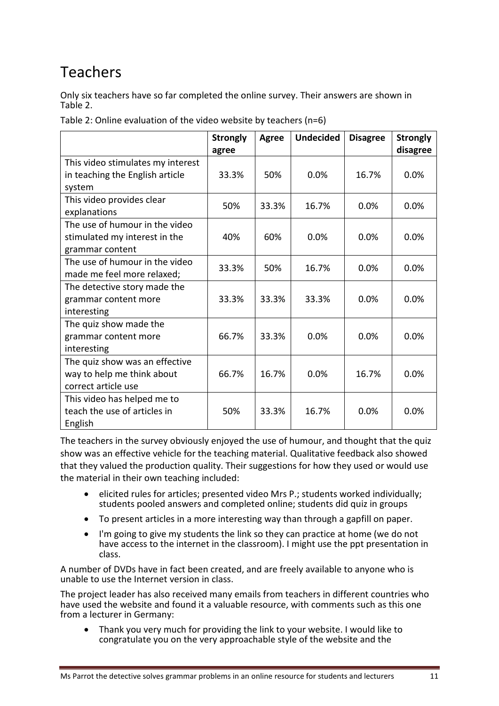### Teachers

Only six teachers have so far completed the online survey. Their answers are shown in Table 2.

|                                   | <b>Strongly</b><br>agree | <b>Agree</b> | <b>Undecided</b> | <b>Disagree</b> | <b>Strongly</b><br>disagree |
|-----------------------------------|--------------------------|--------------|------------------|-----------------|-----------------------------|
| This video stimulates my interest |                          |              |                  |                 |                             |
| in teaching the English article   | 33.3%                    | 50%          | 0.0%             | 16.7%           | 0.0%                        |
| system                            |                          |              |                  |                 |                             |
| This video provides clear         | 50%                      | 33.3%        | 16.7%            | 0.0%            | 0.0%                        |
| explanations                      |                          |              |                  |                 |                             |
| The use of humour in the video    |                          |              |                  |                 |                             |
| stimulated my interest in the     | 40%                      | 60%          | 0.0%             | 0.0%            | 0.0%                        |
| grammar content                   |                          |              |                  |                 |                             |
| The use of humour in the video    | 33.3%                    | 50%          | 16.7%            | 0.0%            | 0.0%                        |
| made me feel more relaxed;        |                          |              |                  |                 |                             |
| The detective story made the      |                          |              |                  |                 |                             |
| grammar content more              | 33.3%                    | 33.3%        | 33.3%            | 0.0%            | 0.0%                        |
| interesting                       |                          |              |                  |                 |                             |
| The quiz show made the            |                          |              |                  |                 |                             |
| grammar content more              | 66.7%                    | 33.3%        | 0.0%             | 0.0%            | 0.0%                        |
| interesting                       |                          |              |                  |                 |                             |
| The quiz show was an effective    |                          |              |                  |                 |                             |
| way to help me think about        | 66.7%                    | 16.7%        | 0.0%             | 16.7%           | 0.0%                        |
| correct article use               |                          |              |                  |                 |                             |
| This video has helped me to       |                          |              |                  |                 |                             |
| teach the use of articles in      | 50%                      | 33.3%        | 16.7%            | 0.0%            | 0.0%                        |
| English                           |                          |              |                  |                 |                             |

Table 2: Online evaluation of the video website by teachers (n=6)

The teachers in the survey obviously enjoyed the use of humour, and thought that the quiz show was an effective vehicle for the teaching material. Qualitative feedback also showed that they valued the production quality. Their suggestions for how they used or would use the material in their own teaching included:

- elicited rules for articles; presented video Mrs P.; students worked individually; students pooled answers and completed online; students did quiz in groups
- To present articles in a more interesting way than through a gapfill on paper.
- I'm going to give my students the link so they can practice at home (we do not have access to the internet in the classroom). I might use the ppt presentation in class.

A number of DVDs have in fact been created, and are freely available to anyone who is unable to use the Internet version in class.

The project leader has also received many emails from teachers in different countries who have used the website and found it a valuable resource, with comments such as this one from a lecturer in Germany:

• Thank you very much for providing the link to your website. I would like to congratulate you on the very approachable style of the website and the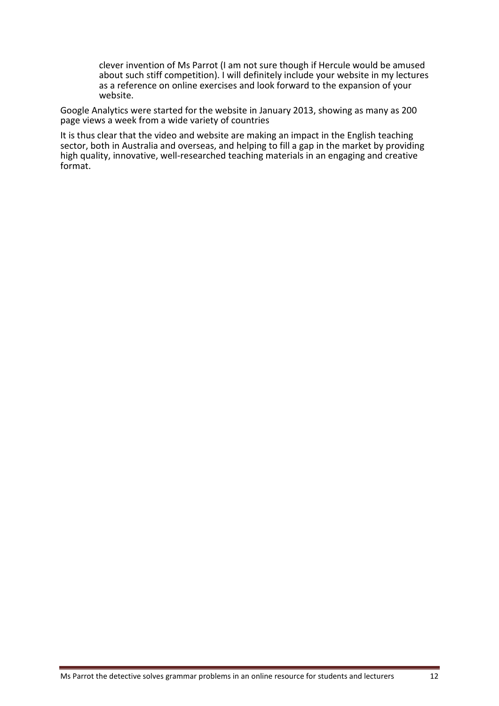clever invention of Ms Parrot (I am not sure though if Hercule would be amused about such stiff competition). I will definitely include your website in my lectures as a reference on online exercises and look forward to the expansion of your website.

Google Analytics were started for the website in January 2013, showing as many as 200 page views a week from a wide variety of countries

It is thus clear that the video and website are making an impact in the English teaching sector, both in Australia and overseas, and helping to fill a gap in the market by providing high quality, innovative, well-researched teaching materials in an engaging and creative format.